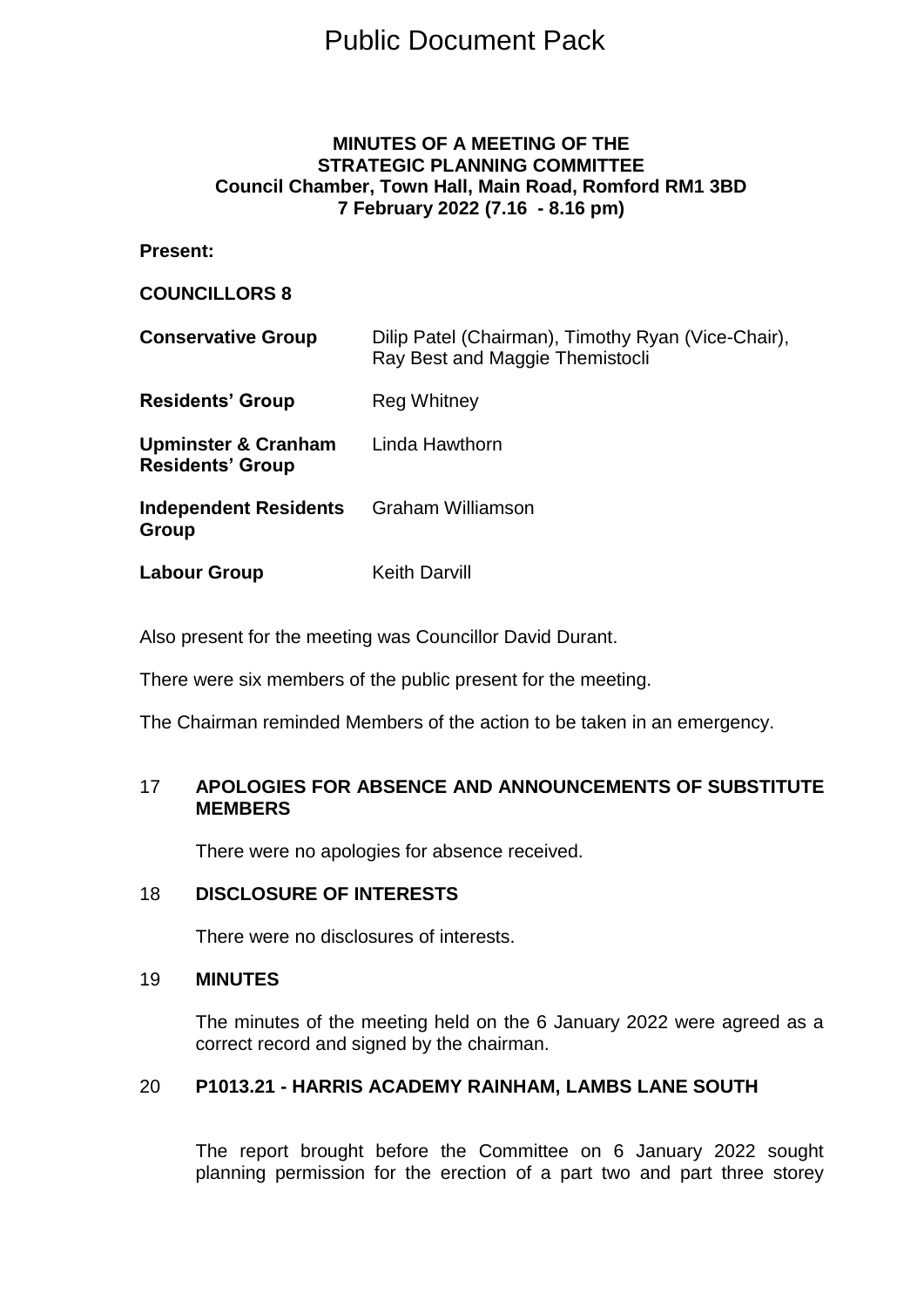# Public Document Pack

## **MINUTES OF A MEETING OF THE STRATEGIC PLANNING COMMITTEE Council Chamber, Town Hall, Main Road, Romford RM1 3BD 7 February 2022 (7.16 - 8.16 pm)**

## **Present:**

## **COUNCILLORS 8**

| <b>Conservative Group</b>                                 | Dilip Patel (Chairman), Timothy Ryan (Vice-Chair),<br>Ray Best and Maggie Themistocli |
|-----------------------------------------------------------|---------------------------------------------------------------------------------------|
| <b>Residents' Group</b>                                   | Reg Whitney                                                                           |
| <b>Upminster &amp; Cranham</b><br><b>Residents' Group</b> | Linda Hawthorn                                                                        |
| <b>Independent Residents</b><br>Group                     | <b>Graham Williamson</b>                                                              |
| Labour Group                                              | <b>Keith Darvill</b>                                                                  |

Also present for the meeting was Councillor David Durant.

There were six members of the public present for the meeting.

The Chairman reminded Members of the action to be taken in an emergency.

## 17 **APOLOGIES FOR ABSENCE AND ANNOUNCEMENTS OF SUBSTITUTE MEMBERS**

There were no apologies for absence received.

## 18 **DISCLOSURE OF INTERESTS**

There were no disclosures of interests.

## 19 **MINUTES**

The minutes of the meeting held on the 6 January 2022 were agreed as a correct record and signed by the chairman.

#### 20 **P1013.21 - HARRIS ACADEMY RAINHAM, LAMBS LANE SOUTH**

The report brought before the Committee on 6 January 2022 sought planning permission for the erection of a part two and part three storey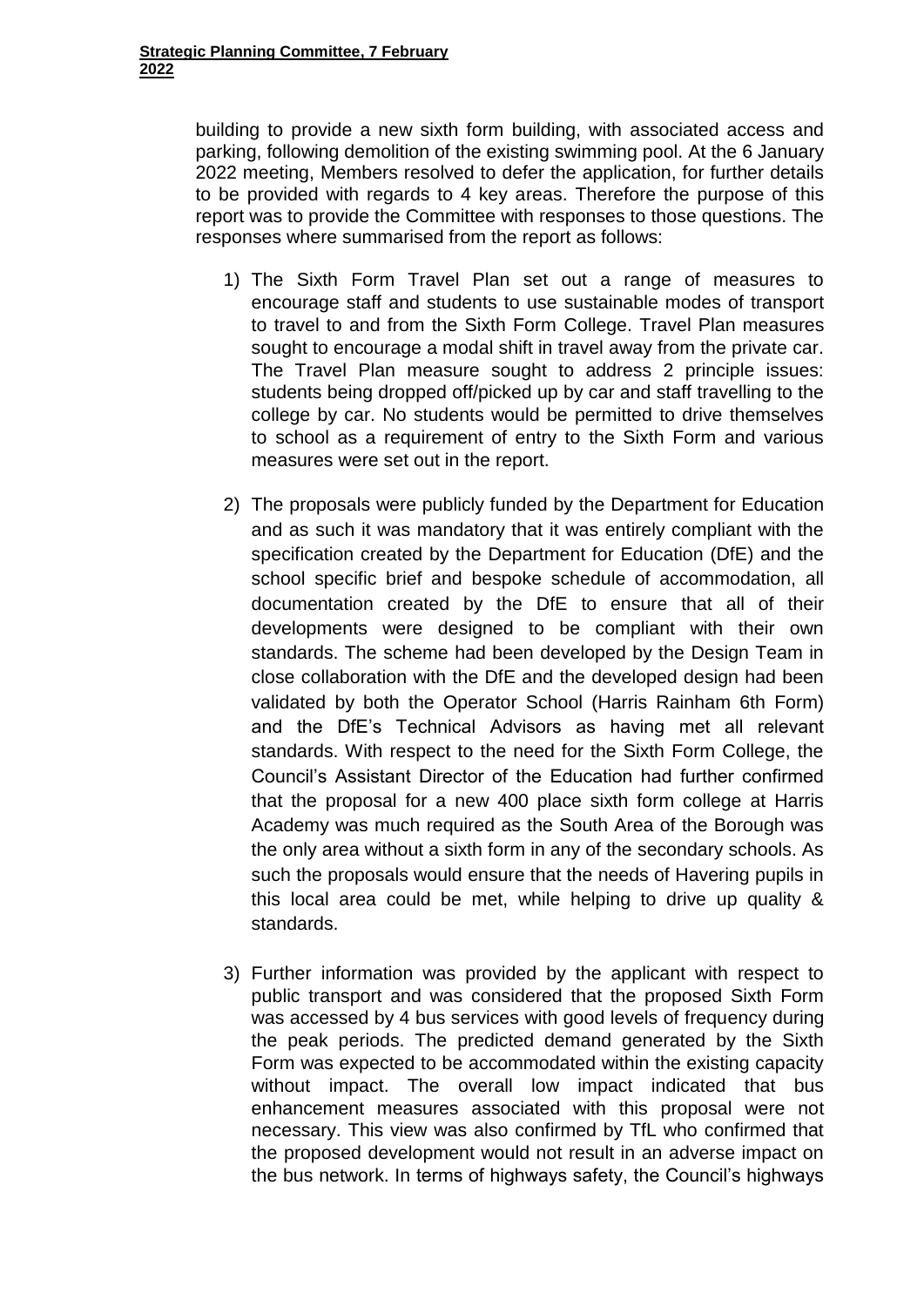building to provide a new sixth form building, with associated access and parking, following demolition of the existing swimming pool. At the 6 January 2022 meeting, Members resolved to defer the application, for further details to be provided with regards to 4 key areas. Therefore the purpose of this report was to provide the Committee with responses to those questions. The responses where summarised from the report as follows:

- 1) The Sixth Form Travel Plan set out a range of measures to encourage staff and students to use sustainable modes of transport to travel to and from the Sixth Form College. Travel Plan measures sought to encourage a modal shift in travel away from the private car. The Travel Plan measure sought to address 2 principle issues: students being dropped off/picked up by car and staff travelling to the college by car. No students would be permitted to drive themselves to school as a requirement of entry to the Sixth Form and various measures were set out in the report.
- 2) The proposals were publicly funded by the Department for Education and as such it was mandatory that it was entirely compliant with the specification created by the Department for Education (DfE) and the school specific brief and bespoke schedule of accommodation, all documentation created by the DfE to ensure that all of their developments were designed to be compliant with their own standards. The scheme had been developed by the Design Team in close collaboration with the DfE and the developed design had been validated by both the Operator School (Harris Rainham 6th Form) and the DfE's Technical Advisors as having met all relevant standards. With respect to the need for the Sixth Form College, the Council's Assistant Director of the Education had further confirmed that the proposal for a new 400 place sixth form college at Harris Academy was much required as the South Area of the Borough was the only area without a sixth form in any of the secondary schools. As such the proposals would ensure that the needs of Havering pupils in this local area could be met, while helping to drive up quality & standards.
- 3) Further information was provided by the applicant with respect to public transport and was considered that the proposed Sixth Form was accessed by 4 bus services with good levels of frequency during the peak periods. The predicted demand generated by the Sixth Form was expected to be accommodated within the existing capacity without impact. The overall low impact indicated that bus enhancement measures associated with this proposal were not necessary. This view was also confirmed by TfL who confirmed that the proposed development would not result in an adverse impact on the bus network. In terms of highways safety, the Council's highways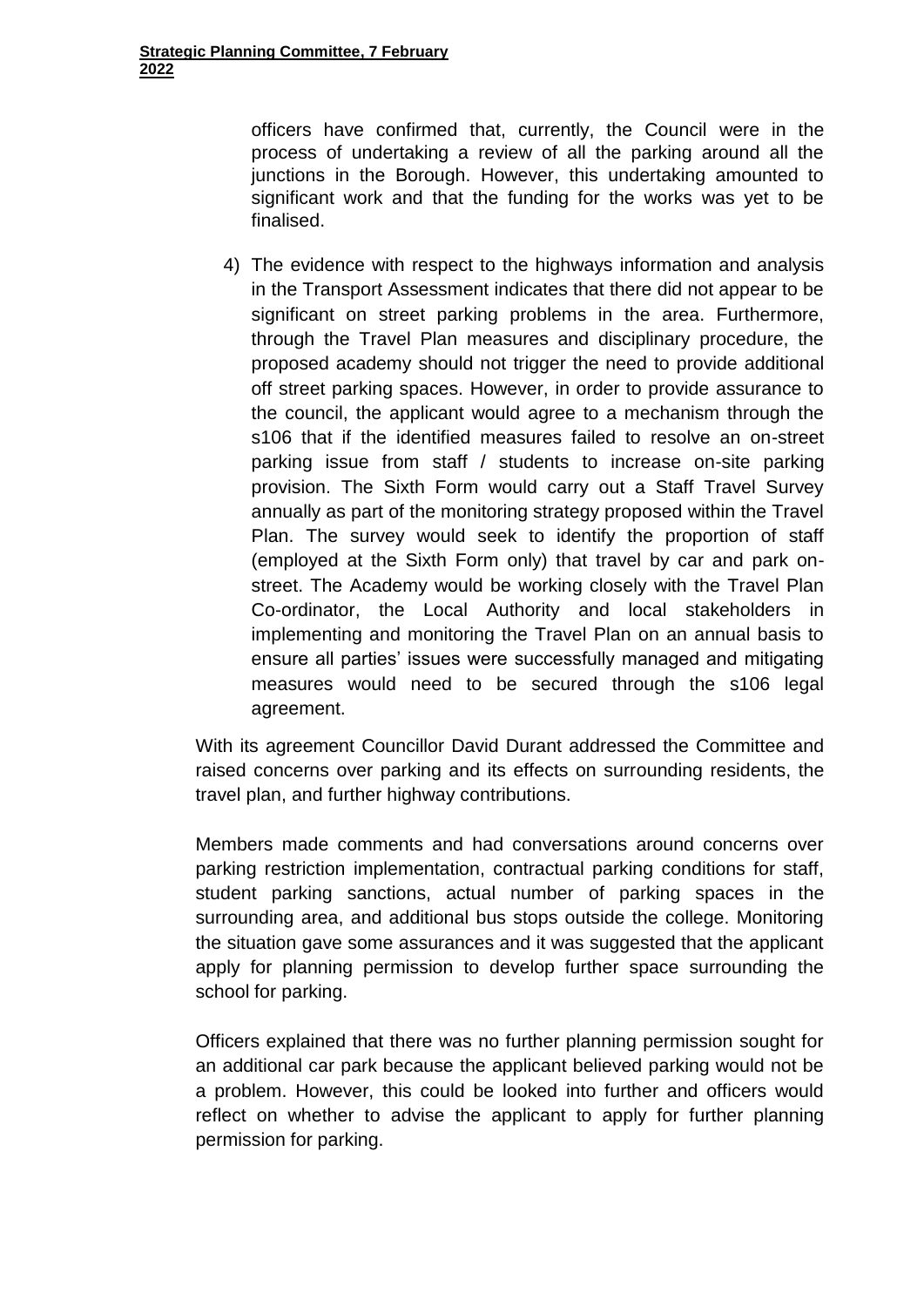officers have confirmed that, currently, the Council were in the process of undertaking a review of all the parking around all the junctions in the Borough. However, this undertaking amounted to significant work and that the funding for the works was yet to be finalised.

4) The evidence with respect to the highways information and analysis in the Transport Assessment indicates that there did not appear to be significant on street parking problems in the area. Furthermore, through the Travel Plan measures and disciplinary procedure, the proposed academy should not trigger the need to provide additional off street parking spaces. However, in order to provide assurance to the council, the applicant would agree to a mechanism through the s106 that if the identified measures failed to resolve an on-street parking issue from staff / students to increase on-site parking provision. The Sixth Form would carry out a Staff Travel Survey annually as part of the monitoring strategy proposed within the Travel Plan. The survey would seek to identify the proportion of staff (employed at the Sixth Form only) that travel by car and park onstreet. The Academy would be working closely with the Travel Plan Co-ordinator, the Local Authority and local stakeholders in implementing and monitoring the Travel Plan on an annual basis to ensure all parties' issues were successfully managed and mitigating measures would need to be secured through the s106 legal agreement.

With its agreement Councillor David Durant addressed the Committee and raised concerns over parking and its effects on surrounding residents, the travel plan, and further highway contributions.

Members made comments and had conversations around concerns over parking restriction implementation, contractual parking conditions for staff, student parking sanctions, actual number of parking spaces in the surrounding area, and additional bus stops outside the college. Monitoring the situation gave some assurances and it was suggested that the applicant apply for planning permission to develop further space surrounding the school for parking.

Officers explained that there was no further planning permission sought for an additional car park because the applicant believed parking would not be a problem. However, this could be looked into further and officers would reflect on whether to advise the applicant to apply for further planning permission for parking.